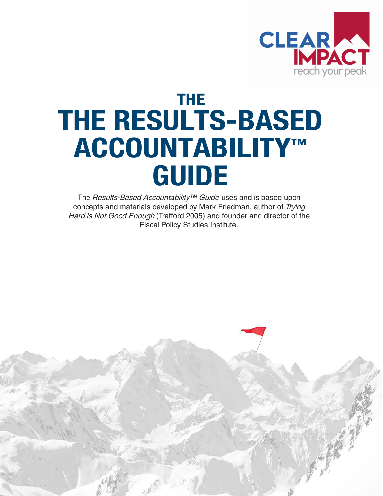

## **THE THE RESULTS-BASED ACCOUNTABILITY™ GUIDE**

The Results-Based Accountability™ Guide uses and is based upon concepts and materials developed by Mark Friedman, author of Trying Hard is Not Good Enough (Trafford 2005) and founder and director of the Fiscal Policy Studies Institute.

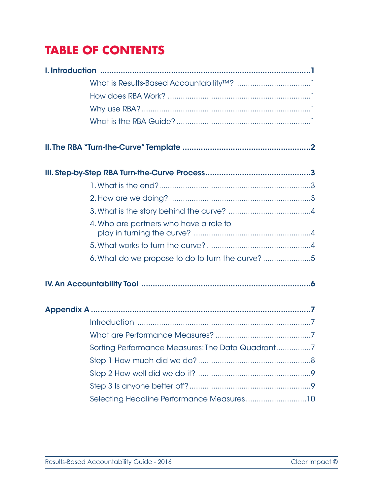## **TABLE OF CONTENTS**

| 4. Who are partners who have a role to           |  |
|--------------------------------------------------|--|
|                                                  |  |
| 6. What do we propose to do to turn the curve? 5 |  |
|                                                  |  |
|                                                  |  |
|                                                  |  |
|                                                  |  |
| Sorting Performance Measures: The Data Quadrant7 |  |
|                                                  |  |
|                                                  |  |
|                                                  |  |
| Selecting Headline Performance Measures10        |  |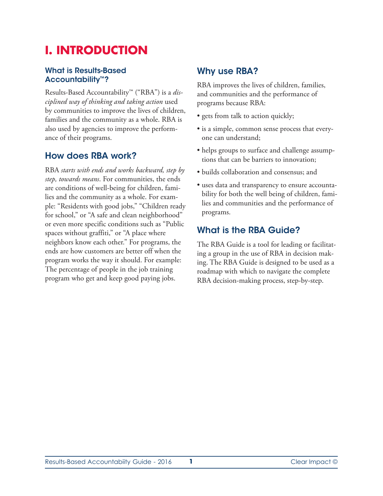## **I. INTRODUCTION**

#### **What is Results-Based Accountability™?**

Results-Based Accountability™ ("RBA") is a *disciplined way of thinking and taking action* used by communities to improve the lives of children, families and the community as a whole. RBA is also used by agencies to improve the performance of their programs.

#### **How does RBA work?**

RBA *starts with ends and works backward, step by step, towards means*. For communities, the ends are conditions of well-being for children, families and the community as a whole. For example: "Residents with good jobs," "Children ready for school," or "A safe and clean neighborhood" or even more specific conditions such as "Public spaces without graffiti," or "A place where neighbors know each other." For programs, the ends are how customers are better off when the program works the way it should. For example: The percentage of people in the job training program who get and keep good paying jobs.

#### **Why use RBA?**

RBA improves the lives of children, families, and communities and the performance of programs because RBA:

- gets from talk to action quickly;
- is a simple, common sense process that everyone can understand;
- helps groups to surface and challenge assumptions that can be barriers to innovation;
- builds collaboration and consensus; and
- uses data and transparency to ensure accountability for both the well being of children, families and communities and the performance of programs.

#### **What is the RBA Guide?**

The RBA Guide is a tool for leading or facilitating a group in the use of RBA in decision making. The RBA Guide is designed to be used as a roadmap with which to navigate the complete RBA decision-making process, step-by-step.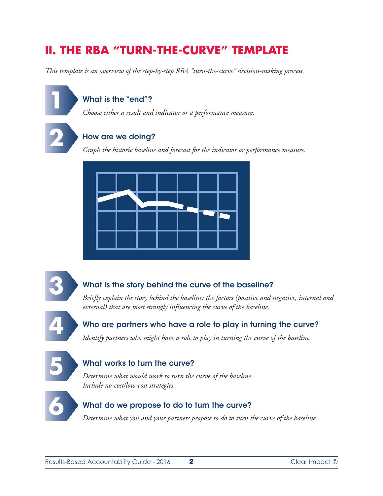## **II. THE RBA "TURN-THE-CURVE" TEMPLATE**

*This template is an overview of the step-by-step RBA "turn-the-curve" decision-making process.*

#### **What is the "end"?**

*Choose either a result and indicator or a performance measure.*

# **2**

**1**

#### **How are we doing?**

*Graph the historic baseline and forecast for the indicator or performance measure.*





#### **What is the story behind the curve of the baseline?**

*Briefly explain the story behind the baseline: the factors (positive and negative, internal and external) that are most strongly influencing the curve of the baseline.*



#### **Who are partners who have a role to play in turning the curve?**

*Identify partners who might have a role to play in turning the curve of the baseline.*



#### **What works to turn the curve?**

*Determine what would work to turn the curve of the baseline. Include no-cost/low-cost strategies.*



#### **What do we propose to do to turn the curve?**

*Determine what you and your partners propose to do to turn the curve of the baseline.*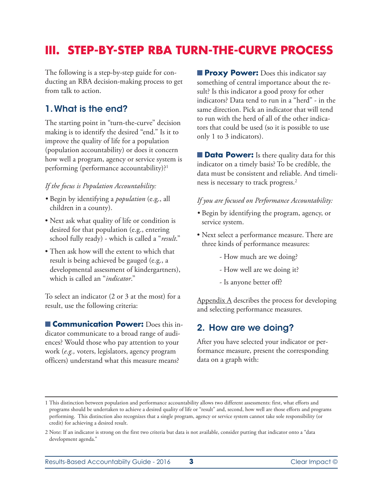## **III. STEP-BY-STEP RBA TURN-THE-CURVE PROCESS**

The following is a step-by-step guide for conducting an RBA decision-making process to get from talk to action.

#### **1.What is the end?**

The starting point in "turn-the-curve" decision making is to identify the desired "end." Is it to improve the quality of life for a population (population accountability) or does it concern how well a program, agency or service system is performing (performance accountability)?1

#### *If the focus is Population Accountability:*

- *•* Begin by identifying a *population* (e.g., all children in a county).
- Next ask what quality of life or condition is desired for that population (e.g., entering school fully ready) - which is called a "*result*."
- Then ask how will the extent to which that result is being achieved be gauged (e.g., a developmental assessment of kindergartners), which is called an "*indicator*."

To select an indicator (2 or 3 at the most) for a result, use the following criteria:

■ **Communication Power:** Does this indicator communicate to a broad range of audiences? Would those who pay attention to your work (*e.g.,* voters, legislators, agency program officers) understand what this measure means?

■ **Proxy Power:** Does this indicator say something of central importance about the result? Is this indicator a good proxy for other indicators? Data tend to run in a "herd" - in the same direction. Pick an indicator that will tend to run with the herd of all of the other indicators that could be used (so it is possible to use only 1 to 3 indicators).

■ **Data Power:** Is there quality data for this indicator on a timely basis? To be credible, the data must be consistent and reliable. And timeliness is necessary to track progress.2

#### *If you are focused on Performance Accountability:*

- *•* Begin by identifying the program, agency, or service system.
- Next select a performance measure. There are three kinds of performance measures:
	- How much are we doing?
	- How well are we doing it?
	- Is anyone better off?

Appendix A describes the process for developing and selecting performance measures.

#### **2. How are we doing?**

After you have selected your indicator or performance measure, present the corresponding data on a graph with:

Results-Based Accountabiity Guide - 2016 **3** Clear Impact ©

<sup>1</sup> This distinction between population and performance accountability allows two different assessments: first, what efforts and programs should be undertaken to achieve a desired quality of life or "result" and, second, how well are those efforts and programs performing. This distinction also recognizes that a single program, agency or service system cannot take sole responsibility (or credit) for achieving a desired result.

<sup>2</sup> Note: If an indicator is strong on the first two criteria but data is not available, consider putting that indicator onto a "data development agenda."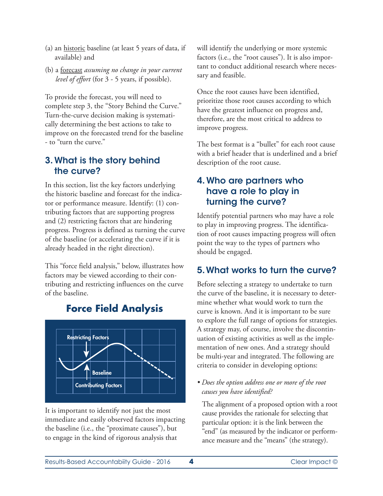- (a) an historic baseline (at least 5 years of data, if available) and
- (b) a forecast *assuming no change in your current level of effort* (for 3 - 5 years, if possible).

To provide the forecast, you will need to complete step 3, the "Story Behind the Curve." Turn-the-curve decision making is systematically determining the best actions to take to improve on the forecasted trend for the baseline - to "turn the curve."

#### **3. What is the story behind the curve?**

In this section, list the key factors underlying the historic baseline and forecast for the indicator or performance measure. Identify: (1) contributing factors that are supporting progress and (2) restricting factors that are hindering progress. Progress is defined as turning the curve of the baseline (or accelerating the curve if it is already headed in the right direction).

This "force field analysis," below, illustrates how factors may be viewed according to their contributing and restricting influences on the curve of the baseline.



### **Force Field Analysis**

It is important to identify not just the most immediate and easily observed factors impacting the baseline (i.e., the "proximate causes"), but to engage in the kind of rigorous analysis that

will identify the underlying or more systemic factors (i.e., the "root causes"). It is also important to conduct additional research where necessary and feasible.

Once the root causes have been identified, prioritize those root causes according to which have the greatest influence on progress and, therefore, are the most critical to address to improve progress.

The best format is a "bullet" for each root cause with a brief header that is underlined and a brief description of the root cause.

#### **4. Who are partners who have a role to play in turning the curve?**

Identify potential partners who may have a role to play in improving progress. The identification of root causes impacting progress will often point the way to the types of partners who should be engaged.

#### **5.What works to turn the curve?**

Before selecting a strategy to undertake to turn the curve of the baseline, it is necessary to determine whether what would work to turn the curve is known. And it is important to be sure to explore the full range of options for strategies. A strategy may, of course, involve the discontinuation of existing activities as well as the implementation of new ones. And a strategy should be multi-year and integrated. The following are criteria to consider in developing options:

*• Does the option address one or more of the root causes you have identified?*

The alignment of a proposed option with a root cause provides the rationale for selecting that particular option: it is the link between the "end" (as measured by the indicator or performance measure and the "means" (the strategy).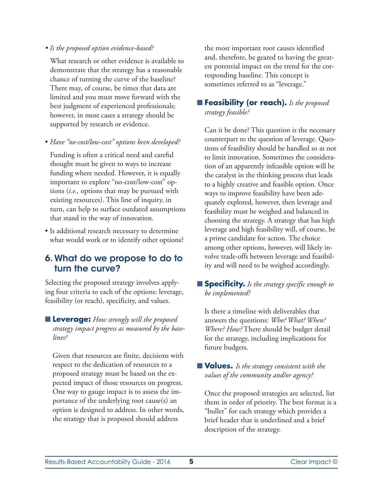#### *• Is the proposed option evidence-based?*

What research or other evidence is available to demonstrate that the strategy has a reasonable chance of turning the curve of the baseline? There may, of course, be times that data are limited and you must move forward with the best judgment of experienced professionals; however, in most cases a strategy should be supported by research or evidence.

• *Have "no-cost/low-cost" options been developed?*

Funding is often a critical need and careful thought must be given to ways to increase funding where needed. However, it is equally important to explore "no-cost/low-cost" options (*i.e.,* options that may be pursued with existing resources). This line of inquiry, in turn, can help to surface outdated assumptions that stand in the way of innovation.

• Is additional research necessary to determine what would work or to identify other options?

#### **6. What do we propose to do to turn the curve?**

Selecting the proposed strategy involves applying four criteria to each of the options: leverage, feasibility (or reach), specificity, and values.

■ **Leverage:** *How strongly will the proposed strategy impact progress as measured by the baselines?*

Given that resources are finite, decisions with respect to the dedication of resources to a proposed strategy must be based on the expected impact of those resources on progress. One way to gauge impact is to assess the importance of the underlying root cause(s) an option is designed to address. In other words, the strategy that is proposed should address

the most important root causes identified and, therefore, be geared to having the greatest potential impact on the trend for the corresponding baseline. This concept is sometimes referred to as "leverage."

#### ■ **Feasibility (or reach).** *Is the proposed strategy feasible?*

Can it be done? This question is the necessary counterpart to the question of leverage. Questions of feasibility should be handled so as not to limit innovation. Sometimes the consideration of an apparently infeasible option will be the catalyst in the thinking process that leads to a highly creative and feasible option. Once ways to improve feasibility have been adequately explored, however, then leverage and feasibility must be weighed and balanced in choosing the strategy. A strategy that has high leverage and high feasibility will, of course, be a prime candidate for action. The choice among other options, however, will likely involve trade-offs between leverage and feasibility and will need to be weighed accordingly.

#### ■ **Specificity.** *Is the strategy specific enough to be implemented?*

Is there a timeline with deliverables that answers the questions: *Who? What? When? Where? How?* There should be budget detail for the strategy, including implications for future budgets.

#### ■ **Values.** *Is the strategy consistent with the values of the community and/or agency?*

Once the proposed strategies are selected, list them in order of priority. The best format is a "bullet" for each strategy which provides a brief header that is underlined and a brief description of the strategy.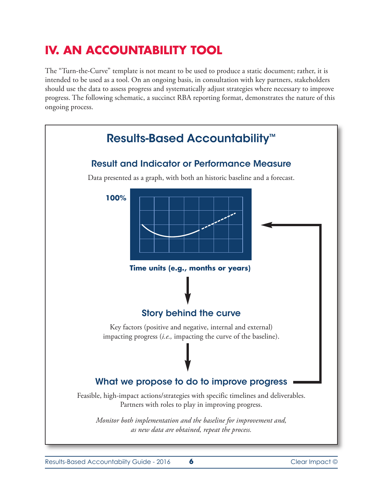## **IV. AN ACCOUNTABILITY TOOL**

The "Turn-the-Curve" template is not meant to be used to produce a static document; rather, it is intended to be used as a tool. On an ongoing basis, in consultation with key partners, stakeholders should use the data to assess progress and systematically adjust strategies where necessary to improve progress. The following schematic, a succinct RBA reporting format, demonstrates the nature of this ongoing process.

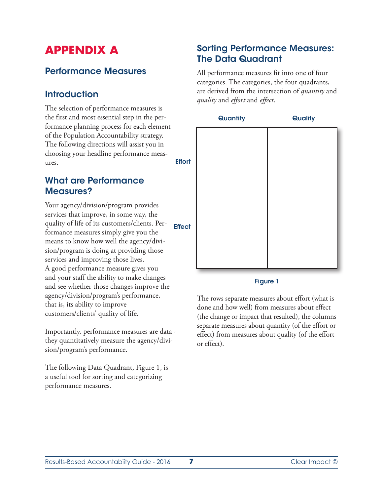## **APPENDIX A**

#### **Performance Measures**

#### **Introduction**

The selection of performance measures is the first and most essential step in the performance planning process for each element of the Population Accountability strategy. The following directions will assist you in choosing your headline performance measures.

#### **What are Performance Measures?**

Your agency/division/program provides services that improve, in some way, the quality of life of its customers/clients. Performance measures simply give you the means to know how well the agency/division/program is doing at providing those services and improving those lives. A good performance measure gives you and your staff the ability to make changes and see whether those changes improve the agency/division/program's performance, that is, its ability to improve customers/clients' quality of life.

Importantly, performance measures are data they quantitatively measure the agency/division/program's performance.

The following Data Quadrant, Figure 1, is a useful tool for sorting and categorizing performance measures.

#### **Sorting Performance Measures: The Data Quadrant**

All performance measures fit into one of four categories. The categories, the four quadrants, are derived from the intersection of *quantity* and *quality* and *effort* and *effect*.



#### **Figure 1**

The rows separate measures about effort (what is done and how well) from measures about effect (the change or impact that resulted), the columns separate measures about quantity (of the effort or effect) from measures about quality (of the effort or effect).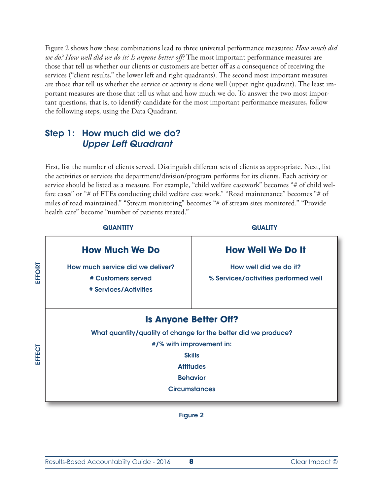Figure 2 shows how these combinations lead to three universal performance measures: *How much did we do? How well did we do it? Is anyone better off?* The most important performance measures are those that tell us whether our clients or customers are better off as a consequence of receiving the services ("client results," the lower left and right quadrants). The second most important measures are those that tell us whether the service or activity is done well (upper right quadrant). The least important measures are those that tell us what and how much we do. To answer the two most important questions, that is, to identify candidate for the most important performance measures, follow the following steps, using the Data Quadrant.

#### **Step 1: How much did we do?** *Upper Left Quadrant*

First, list the number of clients served. Distinguish different sets of clients as appropriate. Next, list the activities or services the department/division/program performs for its clients. Each activity or service should be listed as a measure. For example, "child welfare casework" becomes "# of child welfare cases" or "# of FTEs conducting child welfare case work." "Road maintenance" becomes "# of miles of road maintained." "Stream monitoring" becomes "# of stream sites monitored." "Provide health care" become "number of patients treated."

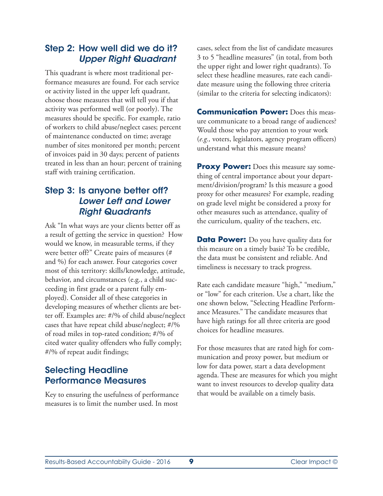#### **Step 2: How well did we do it?** *Upper Right Quadrant*

This quadrant is where most traditional performance measures are found. For each service or activity listed in the upper left quadrant, choose those measures that will tell you if that activity was performed well (or poorly). The measures should be specific. For example, ratio of workers to child abuse/neglect cases; percent of maintenance conducted on time; average number of sites monitored per month; percent of invoices paid in 30 days; percent of patients treated in less than an hour; percent of training staff with training certification.

#### **Step 3: Is anyone better off?** *Lower Left and Lower Right Quadrants*

Ask "In what ways are your clients better off as a result of getting the service in question? How would we know, in measurable terms, if they were better off?" Create pairs of measures (# and %) for each answer. Four categories cover most of this territory: skills/knowledge, attitude, behavior, and circumstances (e.g., a child succeeding in first grade or a parent fully employed). Consider all of these categories in developing measures of whether clients are better off. Examples are: #/% of child abuse/neglect cases that have repeat child abuse/neglect; #/% of road miles in top-rated condition; #/% of cited water quality offenders who fully comply; #/% of repeat audit findings;

#### **Selecting Headline Performance Measures**

Key to ensuring the usefulness of performance measures is to limit the number used. In most

cases, select from the list of candidate measures 3 to 5 "headline measures" (in total, from both the upper right and lower right quadrants). To select these headline measures, rate each candidate measure using the following three criteria (similar to the criteria for selecting indicators):

**Communication Power:** Does this measure communicate to a broad range of audiences? Would those who pay attention to your work (*e.g.,* voters, legislators, agency program officers) understand what this measure means?

**Proxy Power:** Does this measure say something of central importance about your department/division/program? Is this measure a good proxy for other measures? For example, reading on grade level might be considered a proxy for other measures such as attendance, quality of the curriculum, quality of the teachers, etc.

**Data Power:** Do you have quality data for this measure on a timely basis? To be credible, the data must be consistent and reliable. And timeliness is necessary to track progress.

Rate each candidate measure "high," "medium," or "low" for each criterion. Use a chart, like the one shown below, "Selecting Headline Performance Measures." The candidate measures that have high ratings for all three criteria are good choices for headline measures.

For those measures that are rated high for communication and proxy power, but medium or low for data power, start a data development agenda. These are measures for which you might want to invest resources to develop quality data that would be available on a timely basis.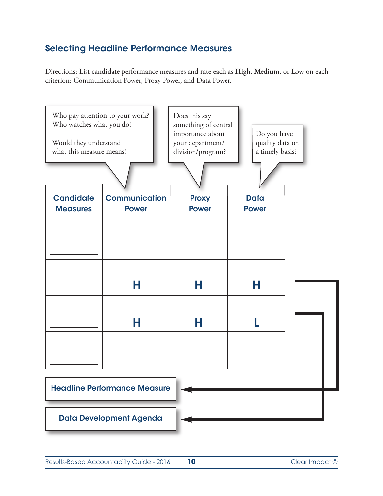#### **Selecting Headline Performance Measures**

Directions: List candidate performance measures and rate each as **H**igh, **M**edium, or **L**ow on each criterion: Communication Power, Proxy Power, and Data Power.